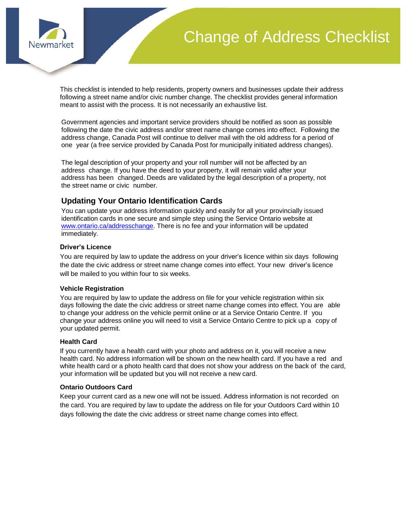

# Change of Address Checklist

This checklist is intended to help residents, property owners and businesses update their address following a street name and/or civic number change. The checklist provides general information meant to assist with the process. It is not necessarily an exhaustive list.

Government agencies and important service providers should be notified as soon as possible following the date the civic address and/or street name change comes into effect. Following the address change, Canada Post will continue to deliver mail with the old address for a period of one year (a free service provided by Canada Post for municipally initiated address changes).

The legal description of your property and your roll number will not be affected by an address change. If you have the deed to your property, it will remain valid after your address has been changed. Deeds are validated by the legal description of a property, not the street name or civic number.

# **Updating Your Ontario Identification Cards**

You can update your address information quickly and easily for all your provincially issued identification cards in one secure and simple step using the Service Ontario website at [www.ontario.ca/addresschange.](http://www.ontario.ca/addresschange) There is no fee and your information will be updated immediately.

### **Driver's Licence**

You are required by law to update the address on your driver's licence within six days following the date the civic address or street name change comes into effect. Your new driver's licence will be mailed to you within four to six weeks.

#### **Vehicle Registration**

You are required by law to update the address on file for your vehicle registration within six days following the date the civic address or street name change comes into effect. You are able to change your address on the vehicle permit online or at a Service Ontario Centre. If you change your address online you will need to visit a Service Ontario Centre to pick up a copy of your updated permit.

#### **Health Card**

If you currently have a health card with your photo and address on it, you will receive a new health card. No address information will be shown on the new health card. If you have a red and white health card or a photo health card that does not show your address on the back of the card, your information will be updated but you will not receive a new card.

#### **Ontario Outdoors Card**

Keep your current card as a new one will not be issued. Address information is not recorded on the card. You are required by law to update the address on file for your Outdoors Card within 10 days following the date the civic address or street name change comes into effect.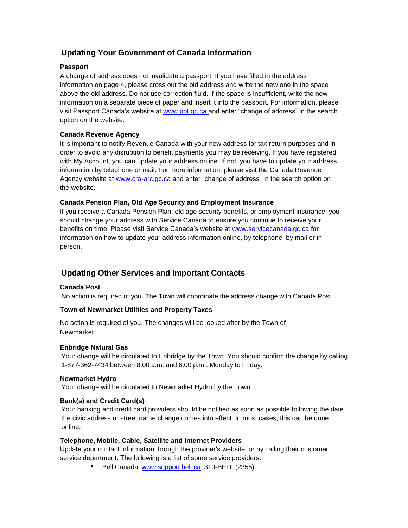# **Updating Your Government of Canada Information**

# **Passport**

A change of address does not invalidate a passport. If you have filled in the address information on page 4, please cross out the old address and write the new one in the space above the old address. Do not use correction fluid. If the space is insufficient, write the new information on a separate piece of paper and insert it into the passport. For information, please visit Passport Canada's website at www.ppt.gc.ca and enter "change of address" in the search option on the website.

# **Canada Revenue Agency**

It is important to notify Revenue Canada with your new address for tax return purposes and in order to avoid any disruption to benefit payments you may be receiving. If you have registered with My Account, you can update your address online. If not, you have to update your address information by telephone or mail. For more information, please visit the Canada Revenue Agency website at www.cra-arc.gc.ca and enter "change of address" in the search option on the website.

# **Canada Pension Plan, Old Age Security and Employment Insurance**

If you receive a Canada Pension Plan, old age security benefits, or employment insurance, you should change your address with Service Canada to ensure you continue to receive your benefits on time. Please visit Service Canada's website at www.servicecanada.gc.ca for information on how to update your address information online, by telephone, by mail or in person.

# **Updating Other Services and Important Contacts**

# **Canada Post**

No action is required of you. The Town will coordinate the address change with Canada Post.

# **Town of Newmarket Utilities and Property Taxes**

No action is required of you. The changes will be looked after by the Town of Newmarket.

# **Enbridge Natural Gas**

Your change will be circulated to Enbridge by the Town. You should confirm the change by calling 1-877-362-7434 between 8:00 a.m. and 6:00 p.m., Monday to Friday.

# **Newmarket Hydro**

Your change will be circulated to Newmarket Hydro by the Town.

# **Bank(s) and Credit Card(s)**

Your banking and credit card providers should be notified as soon as possible following the date the civic address or street name change comes into effect. In most cases, this can be done online.

# **Telephone, Mobile, Cable, Satellite and Internet Providers**

Update your contact information through the provider's website, or by calling their customer service department. The following is a list of some service providers:

Bell Canada: [www.support.bell.ca,](http://www.support.bell.ca/) 310-BELL (2355)